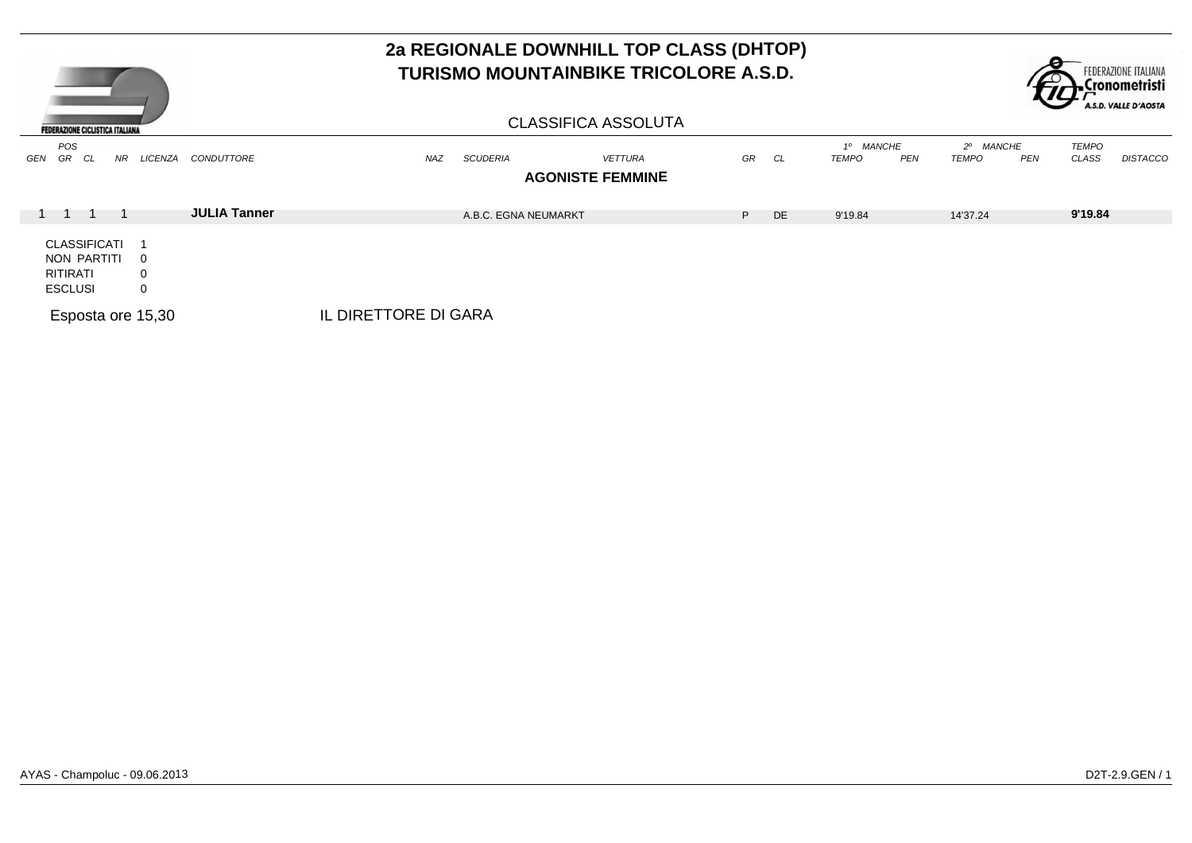

|                                           |                     |                      |                      |                            |    |           |                    |            |                                              | $\sim$ |                       | A.S.D. VALLE D'AOSTA |
|-------------------------------------------|---------------------|----------------------|----------------------|----------------------------|----|-----------|--------------------|------------|----------------------------------------------|--------|-----------------------|----------------------|
| <b>FEDERAZIONE CICLISTICA ITALIANA</b>    |                     |                      |                      | <b>CLASSIFICA ASSOLUTA</b> |    |           |                    |            |                                              |        |                       |                      |
| POS<br>GEN<br>GR<br>NR<br>LICENZA<br>- CL | CONDUTTORE          | NAZ                  | <b>SCUDERIA</b>      | <b>VETTURA</b>             | GR | CL        | 1º MANCHE<br>TEMPO | <b>PEN</b> | <b>MANCHE</b><br>$2^{\circ}$<br><b>TEMPO</b> | PEN    | <b>TEMPO</b><br>CLASS | <b>DISTACCO</b>      |
|                                           |                     |                      |                      | <b>AGONISTE FEMMINE</b>    |    |           |                    |            |                                              |        |                       |                      |
|                                           |                     |                      |                      |                            |    |           |                    |            |                                              |        |                       |                      |
|                                           | <b>JULIA Tanner</b> |                      | A.B.C. EGNA NEUMARKT |                            | P. | <b>DE</b> | 9'19.84            |            | 14'37.24                                     |        | 9'19.84               |                      |
| CLASSIFICATI                              |                     |                      |                      |                            |    |           |                    |            |                                              |        |                       |                      |
| NON PARTITI<br>$\overline{\mathbf{0}}$    |                     |                      |                      |                            |    |           |                    |            |                                              |        |                       |                      |
| RITIRATI<br>0                             |                     |                      |                      |                            |    |           |                    |            |                                              |        |                       |                      |
| <b>ESCLUSI</b><br>0                       |                     |                      |                      |                            |    |           |                    |            |                                              |        |                       |                      |
| Esposta ore 15,30                         |                     | IL DIRETTORE DI GARA |                      |                            |    |           |                    |            |                                              |        |                       |                      |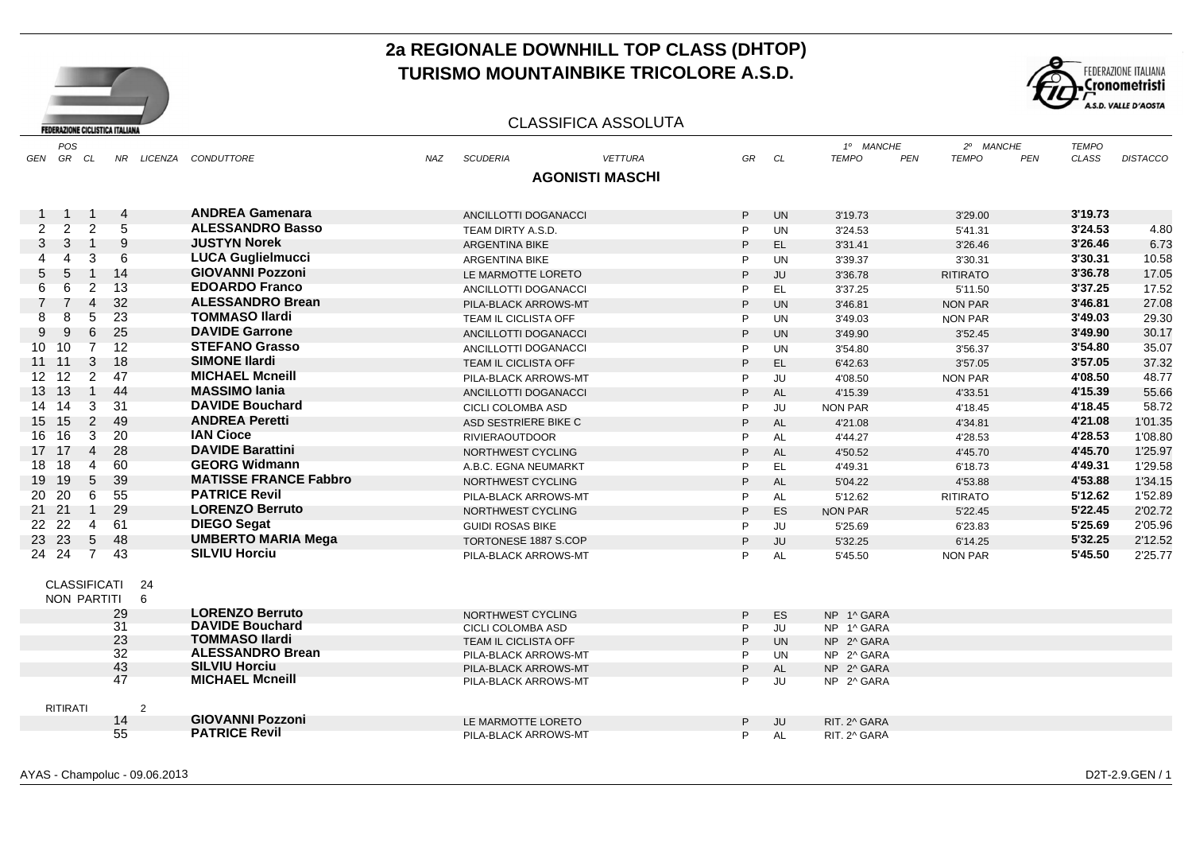



#### CLASSIFICA ASSOLUTA

|                 | POS                 |                |                |                |                              |            |                          |                        |    |           | 1º MANCHE      |                            | 2º MANCHE  | <b>TEMPO</b> |                 |
|-----------------|---------------------|----------------|----------------|----------------|------------------------------|------------|--------------------------|------------------------|----|-----------|----------------|----------------------------|------------|--------------|-----------------|
|                 | GEN GR CL           |                |                |                | NR LICENZA CONDUTTORE        | <b>NAZ</b> | <b>SCUDERIA</b>          | <b>VETTURA</b>         | GR | CL        | <b>TEMPO</b>   | <b>TEMPO</b><br><b>PEN</b> | <b>PEN</b> | CLASS        | <b>DISTACCO</b> |
|                 |                     |                |                |                |                              |            |                          | <b>AGONISTI MASCHI</b> |    |           |                |                            |            |              |                 |
|                 |                     |                |                |                |                              |            |                          |                        |    |           |                |                            |            |              |                 |
|                 | 1                   | -1             | $\overline{4}$ |                | <b>ANDREA Gamenara</b>       |            | ANCILLOTTI DOGANACCI     |                        | P  | <b>UN</b> | 3'19.73        | 3'29.00                    |            | 3'19.73      |                 |
| $\overline{2}$  | 2                   | $\overline{2}$ | 5              |                | <b>ALESSANDRO Basso</b>      |            | TEAM DIRTY A.S.D.        |                        | P  | <b>UN</b> | 3'24.53        | 5'41.31                    |            | 3'24.53      | 4.80            |
| 3               | 3                   | $\overline{1}$ | 9              |                | <b>JUSTYN Norek</b>          |            | <b>ARGENTINA BIKE</b>    |                        | P  | EL.       | 3'31.41        | 3'26.46                    |            | 3'26.46      | 6.73            |
|                 | 4                   | 3              | 6              |                | <b>LUCA Guglielmucci</b>     |            | <b>ARGENTINA BIKE</b>    |                        | P  | <b>UN</b> | 3'39.37        | 3'30.31                    |            | 3'30.31      | 10.58           |
| 5               | 5                   | $\overline{1}$ | 14             |                | <b>GIOVANNI Pozzoni</b>      |            | LE MARMOTTE LORETO       |                        | P  | JU        | 3'36.78        | <b>RITIRATO</b>            |            | 3'36.78      | 17.05           |
| 6               | 6                   | $\overline{2}$ | 13             |                | <b>EDOARDO Franco</b>        |            | ANCILLOTTI DOGANACCI     |                        | P  | EL.       | 3'37.25        | 5'11.50                    |            | 3'37.25      | 17.52           |
|                 |                     | 4              | 32             |                | <b>ALESSANDRO Brean</b>      |            | PILA-BLACK ARROWS-MT     |                        | P  | <b>UN</b> | 3'46.81        | <b>NON PAR</b>             |            | 3'46.81      | 27.08           |
| 8               | 8                   | 5              | 23             |                | <b>TOMMASO Ilardi</b>        |            | TEAM IL CICLISTA OFF     |                        | P  | <b>UN</b> | 3'49.03        | <b>NON PAR</b>             |            | 3'49.03      | 29.30           |
| 9               | 9                   | 6              | 25             |                | <b>DAVIDE Garrone</b>        |            | ANCILLOTTI DOGANACCI     |                        | P  | <b>UN</b> | 3'49.90        | 3'52.45                    |            | 3'49.90      | 30.17           |
| 10 <sup>1</sup> | 10                  | $\overline{7}$ | 12             |                | <b>STEFANO Grasso</b>        |            | ANCILLOTTI DOGANACCI     |                        | P  | <b>UN</b> | 3'54.80        | 3'56.37                    |            | 3'54.80      | 35.07           |
|                 | $11 \quad 11$       | 3              | 18             |                | <b>SIMONE Ilardi</b>         |            | TEAM IL CICLISTA OFF     |                        | P  | EL.       | 6'42.63        | 3'57.05                    |            | 3'57.05      | 37.32           |
| 12 <sup>7</sup> | 12                  | $\overline{2}$ | 47             |                | <b>MICHAEL Mcneill</b>       |            | PILA-BLACK ARROWS-MT     |                        | P  | JU        | 4'08.50        | <b>NON PAR</b>             |            | 4'08.50      | 48.77           |
| 13              | 13                  | $\overline{1}$ | -44            |                | <b>MASSIMO lania</b>         |            | ANCILLOTTI DOGANACCI     |                        | P  | <b>AL</b> | 4'15.39        | 4'33.51                    |            | 4'15.39      | 55.66           |
| 14              | 14                  | 3              | 31             |                | <b>DAVIDE Bouchard</b>       |            | CICLI COLOMBA ASD        |                        | P  | JU        | <b>NON PAR</b> | 4'18.45                    |            | 4'18.45      | 58.72           |
| 15              | 15                  | 2              | 49             |                | <b>ANDREA Peretti</b>        |            | ASD SESTRIERE BIKE C     |                        | P  | AL        | 4'21.08        | 4'34.81                    |            | 4'21.08      | 1'01.35         |
| 16              | 16                  | 3              | 20             |                | <b>IAN Cioce</b>             |            | <b>RIVIERAOUTDOOR</b>    |                        | P  | AL        | 4'44.27        | 4'28.53                    |            | 4'28.53      | 1'08.80         |
|                 | 17 17               | $\overline{4}$ | 28             |                | <b>DAVIDE Barattini</b>      |            | NORTHWEST CYCLING        |                        | P  | <b>AL</b> | 4'50.52        | 4'45.70                    |            | 4'45.70      | 1'25.97         |
| 18              | 18                  | 4              | 60             |                | <b>GEORG Widmann</b>         |            | A.B.C. EGNA NEUMARKT     |                        | P  | EL.       | 4'49.31        | 6'18.73                    |            | 4'49.31      | 1'29.58         |
| 19              | 19                  | 5              | 39             |                | <b>MATISSE FRANCE Fabbro</b> |            | NORTHWEST CYCLING        |                        | P  | <b>AL</b> | 5'04.22        | 4'53.88                    |            | 4'53.88      | 1'34.15         |
| 20              | 20                  | 6              | 55             |                | <b>PATRICE Revil</b>         |            | PILA-BLACK ARROWS-MT     |                        | P  | AL        | 5'12.62        | <b>RITIRATO</b>            |            | 5'12.62      | 1'52.89         |
|                 | 21 21               | $\overline{1}$ | 29             |                | <b>LORENZO Berruto</b>       |            | NORTHWEST CYCLING        |                        | P  | ES        | <b>NON PAR</b> | 5'22.45                    |            | 5'22.45      | 2'02.72         |
|                 | 22 22               | 4              | 61             |                | <b>DIEGO Segat</b>           |            | <b>GUIDI ROSAS BIKE</b>  |                        | P  | JU        | 5'25.69        | 6'23.83                    |            | 5'25.69      | 2'05.96         |
| 23              | -23                 | 5              | 48             |                | <b>UMBERTO MARIA Mega</b>    |            | TORTONESE 1887 S.COP     |                        | P  | JU        | 5'32.25        | 6'14.25                    |            | 5'32.25      | 2'12.52         |
|                 | 24 24               | $\overline{7}$ | 43             |                | <b>SILVIU Horciu</b>         |            | PILA-BLACK ARROWS-MT     |                        | P  | <b>AL</b> | 5'45.50        | <b>NON PAR</b>             |            | 5'45.50      | 2'25.77         |
|                 |                     |                |                |                |                              |            |                          |                        |    |           |                |                            |            |              |                 |
|                 | <b>CLASSIFICATI</b> |                |                | 24             |                              |            |                          |                        |    |           |                |                            |            |              |                 |
|                 | NON PARTITI         |                |                | 6              |                              |            |                          |                        |    |           |                |                            |            |              |                 |
|                 |                     |                | 29             |                | <b>LORENZO Berruto</b>       |            | NORTHWEST CYCLING        |                        | P  | ES        | NP 1^ GARA     |                            |            |              |                 |
|                 |                     |                | 31             |                | <b>DAVIDE Bouchard</b>       |            | <b>CICLI COLOMBA ASD</b> |                        | P  | JU        | NP 1^ GARA     |                            |            |              |                 |
|                 |                     |                | 23             |                | <b>TOMMASO Ilardi</b>        |            | TEAM IL CICLISTA OFF     |                        | P  | <b>UN</b> | NP 2^ GARA     |                            |            |              |                 |
|                 |                     |                | 32             |                | <b>ALESSANDRO Brean</b>      |            | PILA-BLACK ARROWS-MT     |                        | P  | <b>UN</b> | NP 2^ GARA     |                            |            |              |                 |
|                 |                     |                | 43             |                | <b>SILVIU Horciu</b>         |            | PILA-BLACK ARROWS-MT     |                        | P  | <b>AL</b> | NP 2^ GARA     |                            |            |              |                 |
|                 |                     |                | 47             |                | <b>MICHAEL Mcneill</b>       |            | PILA-BLACK ARROWS-MT     |                        | P  | JU        | NP 2^ GARA     |                            |            |              |                 |
|                 |                     |                |                |                |                              |            |                          |                        |    |           |                |                            |            |              |                 |
|                 | <b>RITIRATI</b>     |                | 14             | $\overline{2}$ | <b>GIOVANNI Pozzoni</b>      |            | LE MARMOTTE LORETO       |                        | P  | <b>JU</b> | RIT. 2^ GARA   |                            |            |              |                 |
|                 |                     |                | 55             |                | <b>PATRICE Revil</b>         |            | PILA-BLACK ARROWS-MT     |                        | P  | <b>AL</b> | RIT. 2^ GARA   |                            |            |              |                 |
|                 |                     |                |                |                |                              |            |                          |                        |    |           |                |                            |            |              |                 |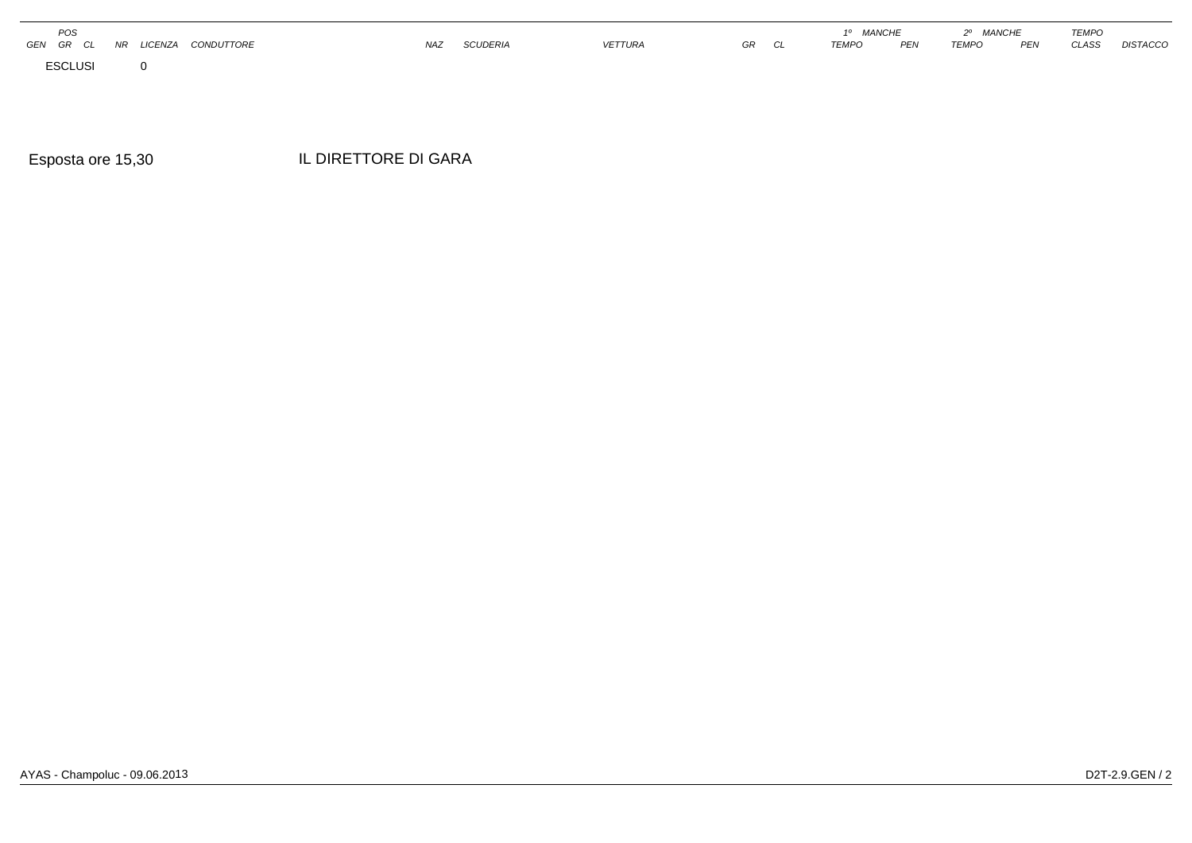| POS                        |                      |                   |            |                 |                |    | <b>MANCHE</b> |     | <b>MANCHE</b><br>ററ |                 | <b>TEMPO</b> |                 |
|----------------------------|----------------------|-------------------|------------|-----------------|----------------|----|---------------|-----|---------------------|-----------------|--------------|-----------------|
| GEN<br><b>GR</b><br>$\sim$ | <b>AID</b><br>IICENZ | <b>CONDUTTORE</b> | <b>NAZ</b> | <b>SCUDERIA</b> | <b>VETTURA</b> | GR | <b>TEMPO</b>  | PEN | <b>TEMPO</b>        | DE <sub>N</sub> | CLASS        | <b>DISTACCO</b> |
| <b>ESCLUSI</b>             |                      |                   |            |                 |                |    |               |     |                     |                 |              |                 |

Esposta ore 15,30 ore 15,30 IL DIRETTORE DI GARA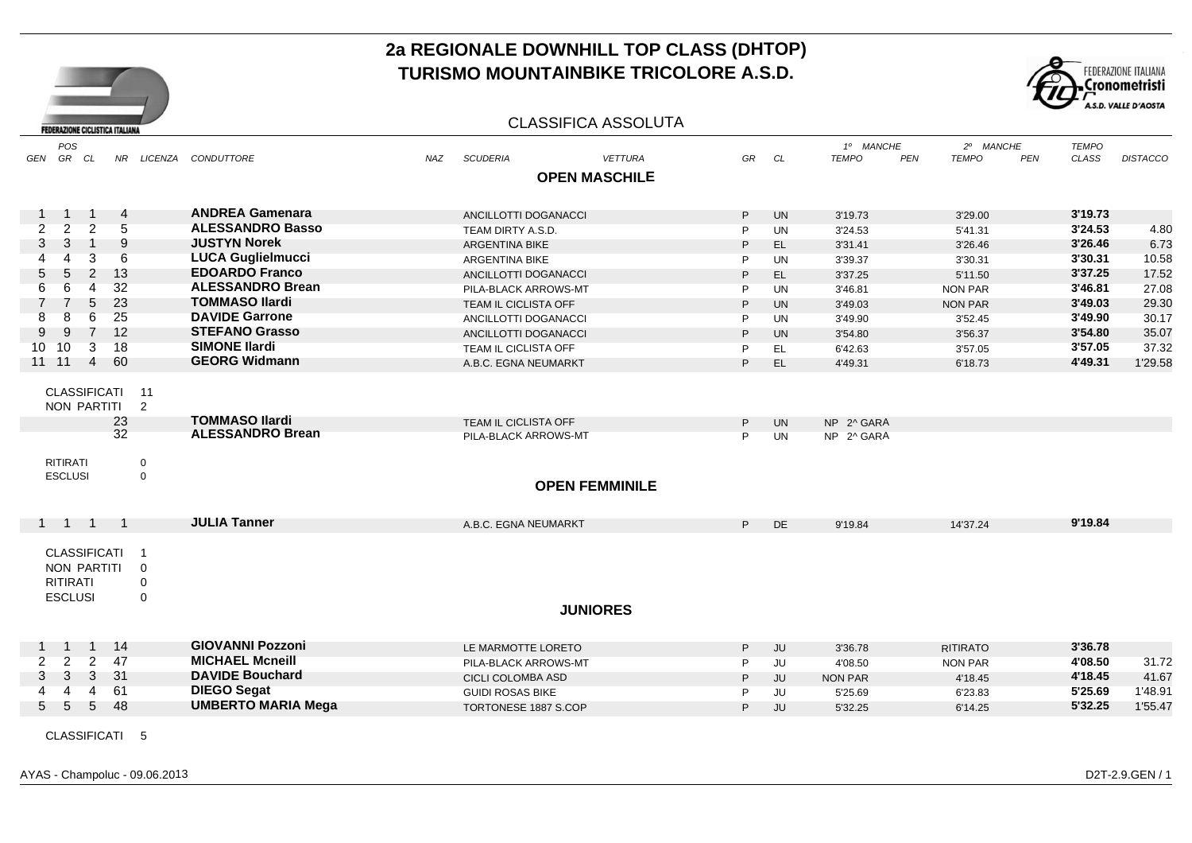

### CLASSIFICA ASSOLUTA

| GEN             | POS<br>GR CL                                                            |                | NR.       |                                                                      | LICENZA CONDUTTORE                               | <b>NAZ</b> | <b>SCUDERIA</b>                              |                       | <b>VETTURA</b> | GR     | CL                     | 1º MANCHE<br><b>TEMPO</b><br><b>PEN</b> | 2º MANCHE<br><b>TEMPO</b><br>PEN | <b>TEMPO</b><br><b>CLASS</b> | <b>DISTACCO</b> |
|-----------------|-------------------------------------------------------------------------|----------------|-----------|----------------------------------------------------------------------|--------------------------------------------------|------------|----------------------------------------------|-----------------------|----------------|--------|------------------------|-----------------------------------------|----------------------------------|------------------------------|-----------------|
|                 |                                                                         |                |           |                                                                      |                                                  |            |                                              |                       |                |        |                        |                                         |                                  |                              |                 |
|                 |                                                                         |                |           |                                                                      |                                                  |            |                                              | <b>OPEN MASCHILE</b>  |                |        |                        |                                         |                                  |                              |                 |
|                 |                                                                         | $\mathbf 1$    | 4         |                                                                      | <b>ANDREA Gamenara</b>                           |            | ANCILLOTTI DOGANACCI                         |                       |                | P.     | <b>UN</b>              | 3'19.73                                 | 3'29.00                          | 3'19.73                      |                 |
| $\overline{2}$  | 2                                                                       | $\overline{2}$ | 5         |                                                                      | <b>ALESSANDRO Basso</b>                          |            | TEAM DIRTY A.S.D.                            |                       |                | P      | <b>UN</b>              | 3'24.53                                 | 5'41.31                          | 3'24.53                      | 4.80            |
| 3               | 3                                                                       | $\overline{1}$ | 9         |                                                                      | <b>JUSTYN Norek</b>                              |            | <b>ARGENTINA BIKE</b>                        |                       |                | P      | EL.                    | 3'31.41                                 | 3'26.46                          | 3'26.46                      | 6.73            |
|                 | 4                                                                       | 3              | 6         |                                                                      | <b>LUCA Guglielmucci</b>                         |            | <b>ARGENTINA BIKE</b>                        |                       |                | P      | <b>UN</b>              | 3'39.37                                 | 3'30.31                          | 3'30.31                      | 10.58           |
| 5               | 5                                                                       | $\overline{2}$ | 13        |                                                                      | <b>EDOARDO Franco</b>                            |            | ANCILLOTTI DOGANACCI                         |                       |                | P      | EL.                    | 3'37.25                                 | 5'11.50                          | 3'37.25                      | 17.52           |
| 6               | 6                                                                       | 4              | 32        |                                                                      | <b>ALESSANDRO Brean</b>                          |            | PILA-BLACK ARROWS-MT                         |                       |                | P      | <b>UN</b>              | 3'46.81                                 | <b>NON PAR</b>                   | 3'46.81                      | 27.08           |
|                 | $\overline{7}$                                                          | 5              | 23        |                                                                      | <b>TOMMASO Ilardi</b>                            |            | TEAM IL CICLISTA OFF                         |                       |                | P      | <b>UN</b>              | 3'49.03                                 | <b>NON PAR</b>                   | 3'49.03                      | 29.30           |
| 8               | 8                                                                       | 6              | 25        |                                                                      | <b>DAVIDE Garrone</b>                            |            | ANCILLOTTI DOGANACCI                         |                       |                | P      | <b>UN</b>              | 3'49.90                                 | 3'52.45                          | 3'49.90                      | 30.17           |
| 9               | 9                                                                       | 7              | 12        |                                                                      | <b>STEFANO Grasso</b>                            |            | ANCILLOTTI DOGANACCI                         |                       |                | P      | <b>UN</b>              | 3'54.80                                 | 3'56.37                          | 3'54.80                      | 35.07           |
| 10 <sup>1</sup> | 10                                                                      | 3              | 18        |                                                                      | <b>SIMONE Ilardi</b>                             |            | TEAM IL CICLISTA OFF                         |                       |                | P      | EL.                    | 6'42.63                                 | 3'57.05                          | 3'57.05                      | 37.32           |
|                 | 11 11                                                                   | $\overline{4}$ | 60        |                                                                      | <b>GEORG Widmann</b>                             |            | A.B.C. EGNA NEUMARKT                         |                       |                | P      | EL.                    | 4'49.31                                 | 6'18.73                          | 4'49.31                      | 1'29.58         |
|                 | <b>CLASSIFICATI</b><br>NON PARTITI                                      |                | 23<br>32  | 11<br>2                                                              | <b>TOMMASO Ilardi</b><br><b>ALESSANDRO Brean</b> |            | TEAM IL CICLISTA OFF<br>PILA-BLACK ARROWS-MT |                       |                | P<br>P | <b>UN</b><br><b>UN</b> | NP 2^ GARA<br>NP 2^ GARA                |                                  |                              |                 |
|                 | <b>RITIRATI</b><br><b>ESCLUSI</b>                                       |                |           | $\boldsymbol{0}$<br>$\mathbf 0$                                      |                                                  |            |                                              | <b>OPEN FEMMINILE</b> |                |        |                        |                                         |                                  |                              |                 |
|                 | 1 1 1 1                                                                 |                |           |                                                                      | <b>JULIA Tanner</b>                              |            | A.B.C. EGNA NEUMARKT                         |                       |                | P.     | <b>DE</b>              | 9'19.84                                 | 14'37.24                         | 9'19.84                      |                 |
|                 | <b>CLASSIFICATI</b><br>NON PARTITI<br><b>RITIRATI</b><br><b>ESCLUSI</b> |                |           | $\overline{\mathbf{1}}$<br>$\mathbf 0$<br>$\mathsf 0$<br>$\mathbf 0$ |                                                  |            |                                              | <b>JUNIORES</b>       |                |        |                        |                                         |                                  |                              |                 |
|                 |                                                                         |                |           |                                                                      | <b>GIOVANNI Pozzoni</b>                          |            |                                              |                       |                |        |                        |                                         |                                  |                              |                 |
|                 |                                                                         | $\mathbf{1}$   | -14<br>47 |                                                                      | <b>MICHAEL Mcneill</b>                           |            | LE MARMOTTE LORETO                           |                       |                | P.     | JU                     | 3'36.78                                 | <b>RITIRATO</b>                  | 3'36.78                      |                 |
| $\overline{2}$  | $\overline{2}$                                                          | $\overline{2}$ |           |                                                                      | <b>DAVIDE Bouchard</b>                           |            | PILA-BLACK ARROWS-MT                         |                       |                | P      | <b>JU</b>              | 4'08.50                                 | <b>NON PAR</b>                   | 4'08.50                      | 31.72           |
| 3               | 3                                                                       | 3              | 31        |                                                                      |                                                  |            | CICLI COLOMBA ASD                            |                       |                | P      | JU                     | <b>NON PAR</b>                          | 4'18.45                          | 4'18.45                      | 41.67           |
|                 | 4                                                                       | $\overline{4}$ | 61        |                                                                      | <b>DIEGO Segat</b>                               |            | <b>GUIDI ROSAS BIKE</b>                      |                       |                | P      | JU                     | 5'25.69                                 | 6'23.83                          | 5'25.69                      | 1'48.91         |
| 5               | -5                                                                      | 5              | 48        |                                                                      | <b>UMBERTO MARIA Mega</b>                        |            | <b>TORTONESE 1887 S.COP</b>                  |                       |                | P      | JU                     | 5'32.25                                 | 6'14.25                          | 5'32.25                      | 1'55.47         |
|                 | <b>CLASSIFICATI</b>                                                     |                |           | -5                                                                   |                                                  |            |                                              |                       |                |        |                        |                                         |                                  |                              |                 |

**FEDERAZIONE CICLISTICA ITALIANA**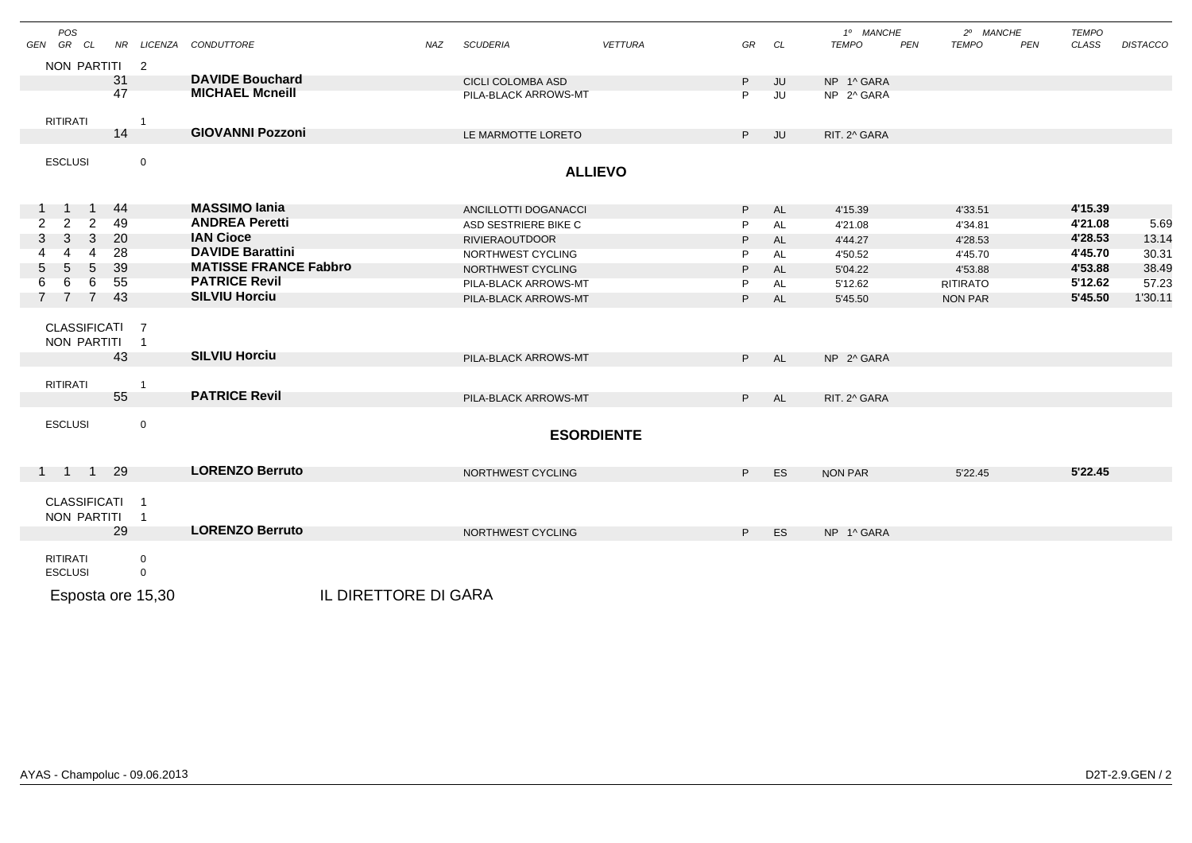| <b>POS</b><br>GEN GR CL                                  |                            | NR LICENZA CONDUTTORE        | <b>NAZ</b> | <b>SCUDERIA</b>       | <b>VETTURA</b>    | GR             | CL        | 1º MANCHE<br><b>TEMPO</b> | PEN | 2º MANCHE<br><b>TEMPO</b> | PEN | <b>TEMPO</b><br>CLASS | <b>DISTACCO</b> |
|----------------------------------------------------------|----------------------------|------------------------------|------------|-----------------------|-------------------|----------------|-----------|---------------------------|-----|---------------------------|-----|-----------------------|-----------------|
| NON PARTITI 2                                            |                            |                              |            |                       |                   |                |           |                           |     |                           |     |                       |                 |
| 31                                                       |                            | <b>DAVIDE Bouchard</b>       |            | CICLI COLOMBA ASD     |                   | P.             | JU        | NP 1^ GARA                |     |                           |     |                       |                 |
| 47                                                       |                            | <b>MICHAEL Mcneill</b>       |            | PILA-BLACK ARROWS-MT  |                   | P              | JU        | NP 2^ GARA                |     |                           |     |                       |                 |
|                                                          |                            |                              |            |                       |                   |                |           |                           |     |                           |     |                       |                 |
| <b>RITIRATI</b><br>14                                    | $\overline{1}$             | <b>GIOVANNI Pozzoni</b>      |            | LE MARMOTTE LORETO    |                   | P.             | JU        | RIT. 2^ GARA              |     |                           |     |                       |                 |
|                                                          |                            |                              |            |                       |                   |                |           |                           |     |                           |     |                       |                 |
| <b>ESCLUSI</b>                                           | $\mathbf 0$                |                              |            |                       | <b>ALLIEVO</b>    |                |           |                           |     |                           |     |                       |                 |
|                                                          |                            |                              |            |                       |                   |                |           |                           |     |                           |     |                       |                 |
| -44<br>$\overline{1}$<br>$\overline{1}$                  |                            | <b>MASSIMO lania</b>         |            | ANCILLOTTI DOGANACCI  |                   | P              | AL        | 4'15.39                   |     | 4'33.51                   |     | 4'15.39               |                 |
| $\overline{2}$<br>49<br>$\overline{2}$<br>$\overline{2}$ |                            | <b>ANDREA Peretti</b>        |            | ASD SESTRIERE BIKE C  |                   | P              | <b>AL</b> | 4'21.08                   |     | 4'34.81                   |     | 4'21.08               | 5.69            |
| 20<br>3<br>3<br>3                                        |                            | <b>IAN Cioce</b>             |            | <b>RIVIERAOUTDOOR</b> |                   | P              | <b>AL</b> | 4'44.27                   |     | 4'28.53                   |     | 4'28.53               | 13.14           |
| 28<br>$\overline{A}$<br>4                                |                            | <b>DAVIDE Barattini</b>      |            | NORTHWEST CYCLING     |                   | P              | AL        | 4'50.52                   |     | 4'45.70                   |     | 4'45.70               | 30.31           |
| 39<br>5<br>5<br>5                                        |                            | <b>MATISSE FRANCE Fabbro</b> |            | NORTHWEST CYCLING     |                   | P              | AL        | 5'04.22                   |     | 4'53.88                   |     | 4'53.88               | 38.49           |
| 6<br>55<br>6<br>6                                        |                            | <b>PATRICE Revil</b>         |            | PILA-BLACK ARROWS-MT  |                   | P              | AL        | 5'12.62                   |     | <b>RITIRATO</b>           |     | 5'12.62               | 57.23           |
| 43<br>$\overline{7}$<br>$\overline{7}$                   |                            | <b>SILVIU Horciu</b>         |            | PILA-BLACK ARROWS-MT  |                   | P.             | AL        | 5'45.50                   |     | <b>NON PAR</b>            |     | 5'45.50               | 1'30.11         |
| CLASSIFICATI 7                                           |                            |                              |            |                       |                   |                |           |                           |     |                           |     |                       |                 |
| NON PARTITI                                              | $\overline{1}$             |                              |            |                       |                   |                |           |                           |     |                           |     |                       |                 |
| 43                                                       |                            | <b>SILVIU Horciu</b>         |            | PILA-BLACK ARROWS-MT  |                   | P <sub>2</sub> | AL        | NP 2^ GARA                |     |                           |     |                       |                 |
| <b>RITIRATI</b>                                          | $\overline{1}$             |                              |            |                       |                   |                |           |                           |     |                           |     |                       |                 |
| 55                                                       |                            | <b>PATRICE Revil</b>         |            | PILA-BLACK ARROWS-MT  |                   | P <sub>1</sub> | <b>AL</b> | RIT. 2^ GARA              |     |                           |     |                       |                 |
|                                                          |                            |                              |            |                       |                   |                |           |                           |     |                           |     |                       |                 |
| <b>ESCLUSI</b>                                           | $\mathsf{O}\xspace$        |                              |            |                       | <b>ESORDIENTE</b> |                |           |                           |     |                           |     |                       |                 |
|                                                          |                            |                              |            |                       |                   |                |           |                           |     |                           |     |                       |                 |
| -29<br>1 1 1                                             |                            | <b>LORENZO Berruto</b>       |            | NORTHWEST CYCLING     |                   | P.             | ES        | NON PAR                   |     | 5'22.45                   |     | 5'22.45               |                 |
|                                                          |                            |                              |            |                       |                   |                |           |                           |     |                           |     |                       |                 |
| <b>CLASSIFICATI</b>                                      | $\overline{1}$             |                              |            |                       |                   |                |           |                           |     |                           |     |                       |                 |
| NON PARTITI<br>29                                        | $\overline{1}$             | <b>LORENZO Berruto</b>       |            |                       |                   |                |           |                           |     |                           |     |                       |                 |
|                                                          |                            |                              |            | NORTHWEST CYCLING     |                   | P.             | ES        | NP 1^ GARA                |     |                           |     |                       |                 |
| <b>RITIRATI</b><br><b>ESCLUSI</b>                        | $\mathbf 0$<br>$\mathbf 0$ |                              |            |                       |                   |                |           |                           |     |                           |     |                       |                 |
| Esposta ore 15,30                                        |                            | IL DIRETTORE DI GARA         |            |                       |                   |                |           |                           |     |                           |     |                       |                 |
|                                                          |                            |                              |            |                       |                   |                |           |                           |     |                           |     |                       |                 |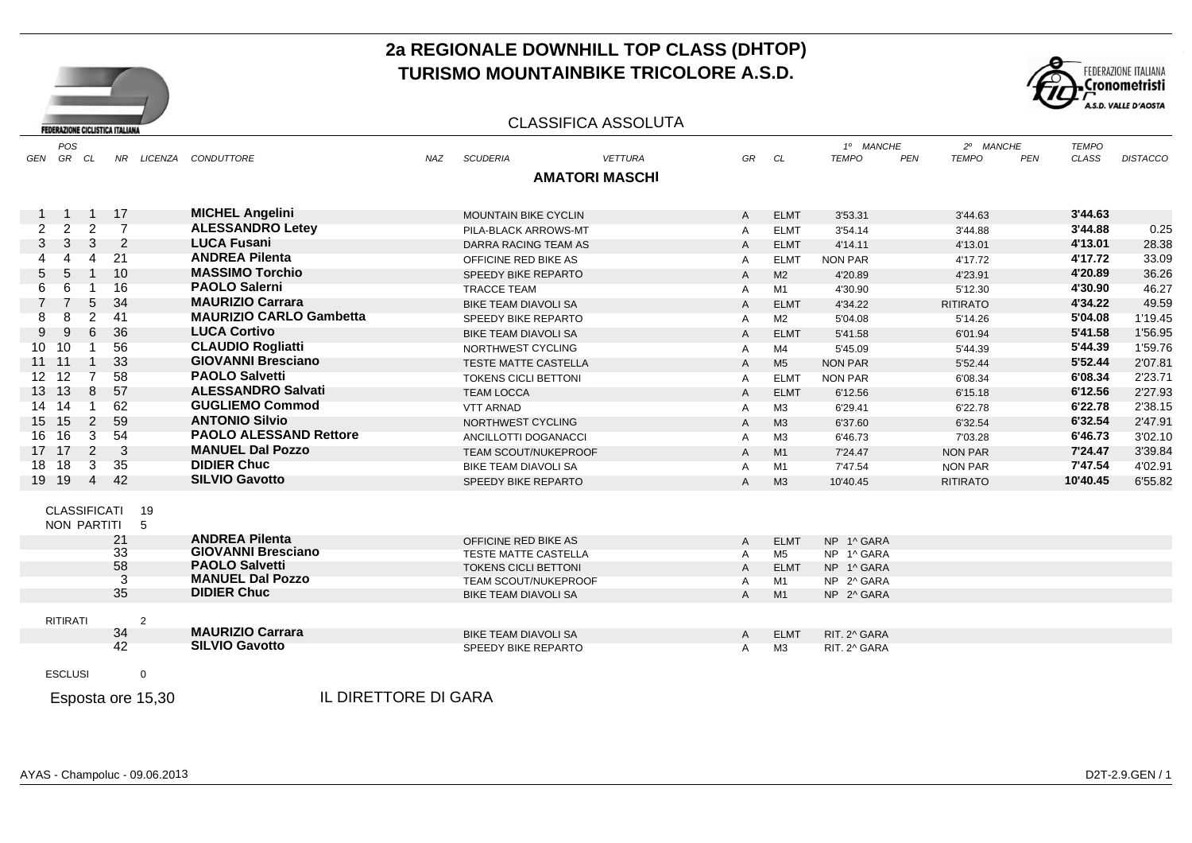



#### CLASSIFICA ASSOLUTA

| POS<br>GR CL<br>GEN              |                |                |     | NR LICENZA CONDUTTORE          | <b>NAZ</b> | <b>SCUDERIA</b>             | <b>VETTURA</b>        | GR             | CL             | 1º MANCHE<br><b>TEMPO</b><br><b>PEN</b> | 2º MANCHE<br><b>TEMPO</b><br>PEN | <b>TEMPO</b><br>CLASS | <b>DISTACCO</b> |
|----------------------------------|----------------|----------------|-----|--------------------------------|------------|-----------------------------|-----------------------|----------------|----------------|-----------------------------------------|----------------------------------|-----------------------|-----------------|
|                                  |                |                |     |                                |            |                             | <b>AMATORI MASCHI</b> |                |                |                                         |                                  |                       |                 |
|                                  |                |                |     |                                |            |                             |                       |                |                |                                         |                                  |                       |                 |
| -1                               |                | 1 17           |     | <b>MICHEL Angelini</b>         |            | <b>MOUNTAIN BIKE CYCLIN</b> |                       | A              | <b>ELMT</b>    | 3'53.31                                 | 3'44.63                          | 3'44.63               |                 |
| $\overline{2}$<br>$\overline{2}$ | 2              | $\overline{7}$ |     | <b>ALESSANDRO Letey</b>        |            | PILA-BLACK ARROWS-MT        |                       | A              | <b>ELMT</b>    | 3'54.14                                 | 3'44.88                          | 3'44.88               | 0.25            |
| 3<br>3                           | 3              | $\overline{2}$ |     | <b>LUCA Fusani</b>             |            | DARRA RACING TEAM AS        |                       | A              | <b>ELMT</b>    | 4'14.11                                 | 4'13.01                          | 4'13.01               | 28.38           |
| 4                                | 4              | 21             |     | <b>ANDREA Pilenta</b>          |            | OFFICINE RED BIKE AS        |                       | A              | <b>ELMT</b>    | <b>NON PAR</b>                          | 4'17.72                          | 4'17.72               | 33.09           |
| 5<br>5                           |                | 10             |     | <b>MASSIMO Torchio</b>         |            | SPEEDY BIKE REPARTO         |                       | A              | M2             | 4'20.89                                 | 4'23.91                          | 4'20.89               | 36.26           |
| 6<br>6                           |                | 16             |     | <b>PAOLO Salerni</b>           |            | <b>TRACCE TEAM</b>          |                       | A              | M1             | 4'30.90                                 | 5'12.30                          | 4'30.90               | 46.27           |
| 7                                | 5              | 34             |     | <b>MAURIZIO Carrara</b>        |            | <b>BIKE TEAM DIAVOLI SA</b> |                       | A              | <b>ELMT</b>    | 4'34.22                                 | <b>RITIRATO</b>                  | 4'34.22               | 49.59           |
| 8<br>8                           | $\overline{c}$ | 41             |     | <b>MAURIZIO CARLO Gambetta</b> |            | SPEEDY BIKE REPARTO         |                       | A              | M <sub>2</sub> | 5'04.08                                 | 5'14.26                          | 5'04.08               | 1'19.45         |
| 9<br>9                           | 6              | 36             |     | <b>LUCA Cortivo</b>            |            | <b>BIKE TEAM DIAVOLI SA</b> |                       | A              | <b>ELMT</b>    | 5'41.58                                 | 6'01.94                          | 5'41.58               | 1'56.95         |
| 10<br>10 <sup>°</sup>            |                | 56             |     | <b>CLAUDIO Rogliatti</b>       |            | NORTHWEST CYCLING           |                       | A              | M4             | 5'45.09                                 | 5'44.39                          | 5'44.39               | 1'59.76         |
| 11 11                            |                | 33             |     | <b>GIOVANNI Bresciano</b>      |            | <b>TESTE MATTE CASTELLA</b> |                       | A              | M <sub>5</sub> | <b>NON PAR</b>                          | 5'52.44                          | 5'52.44               | 2'07.81         |
| 12<br>12 <sup>7</sup>            | $\overline{7}$ | 58             |     | <b>PAOLO Salvetti</b>          |            | <b>TOKENS CICLI BETTONI</b> |                       | A              | <b>ELMT</b>    | NON PAR                                 | 6'08.34                          | 6'08.34               | 2'23.71         |
| 13<br>13                         | 8              | 57             |     | <b>ALESSANDRO Salvati</b>      |            | <b>TEAM LOCCA</b>           |                       | A              | <b>ELMT</b>    | 6'12.56                                 | 6'15.18                          | 6'12.56               | 2'27.93         |
| 14<br>14                         |                | 62             |     | <b>GUGLIEMO Commod</b>         |            | <b>VTT ARNAD</b>            |                       | A              | M <sub>3</sub> | 6'29.41                                 | 6'22.78                          | 6'22.78               | 2'38.15         |
| 15<br>15                         | 2              | 59             |     | <b>ANTONIO Silvio</b>          |            | NORTHWEST CYCLING           |                       | A              | M <sub>3</sub> | 6'37.60                                 | 6'32.54                          | 6'32.54               | 2'47.91         |
| 16<br>16                         | 3              | 54             |     | <b>PAOLO ALESSAND Rettore</b>  |            | ANCILLOTTI DOGANACCI        |                       | Α              | M <sub>3</sub> | 6'46.73                                 | 7'03.28                          | 6'46.73               | 3'02.10         |
| 17 17                            | $\overline{2}$ | - 3            |     | <b>MANUEL Dal Pozzo</b>        |            | <b>TEAM SCOUT/NUKEPROOF</b> |                       | A              | M1             | 7'24.47                                 | <b>NON PAR</b>                   | 7'24.47               | 3'39.84         |
| 18<br>18                         | 3              | 35             |     | <b>DIDIER Chuc</b>             |            | BIKE TEAM DIAVOLI SA        |                       | A              | M1             | 7'47.54                                 | <b>NON PAR</b>                   | 7'47.54               | 4'02.91         |
| 19 19                            | $\overline{4}$ | 42             |     | <b>SILVIO Gavotto</b>          |            | SPEEDY BIKE REPARTO         |                       | A              | M <sub>3</sub> | 10'40.45                                | <b>RITIRATO</b>                  | 10'40.45              | 6'55.82         |
|                                  |                |                |     |                                |            |                             |                       |                |                |                                         |                                  |                       |                 |
| <b>CLASSIFICATI</b>              |                |                | 19  |                                |            |                             |                       |                |                |                                         |                                  |                       |                 |
| NON PARTITI                      |                |                | - 5 |                                |            |                             |                       |                |                |                                         |                                  |                       |                 |
|                                  |                | 21             |     | <b>ANDREA Pilenta</b>          |            | OFFICINE RED BIKE AS        |                       | A              | <b>ELMT</b>    | NP 1^ GARA                              |                                  |                       |                 |
|                                  |                | 33             |     | <b>GIOVANNI Bresciano</b>      |            | <b>TESTE MATTE CASTELLA</b> |                       | A              | M <sub>5</sub> | NP 1^ GARA                              |                                  |                       |                 |
|                                  |                | 58             |     | <b>PAOLO Salvetti</b>          |            | <b>TOKENS CICLI BETTONI</b> |                       | $\overline{A}$ | <b>ELMT</b>    | NP 1^ GARA                              |                                  |                       |                 |
|                                  |                |                |     | <b>MANUEL Dal Pozzo</b>        |            | <b>TEAM SCOUT/NUKEPROOF</b> |                       | A              | M1             | NP 2^ GARA                              |                                  |                       |                 |
|                                  |                | 35             |     | <b>DIDIER Chuc</b>             |            | <b>BIKE TEAM DIAVOLI SA</b> |                       | $\mathsf{A}$   | M1             | NP 2^ GARA                              |                                  |                       |                 |
| <b>RITIRATI</b>                  |                |                | 2   |                                |            |                             |                       |                |                |                                         |                                  |                       |                 |
|                                  |                | 34             |     | <b>MAURIZIO Carrara</b>        |            | <b>BIKE TEAM DIAVOLI SA</b> |                       | A              | <b>ELMT</b>    | RIT. 2^ GARA                            |                                  |                       |                 |
|                                  |                | 42             |     | <b>SILVIO Gavotto</b>          |            | SPEEDY BIKE REPARTO         |                       | A              | M3             | RIT. 2^ GARA                            |                                  |                       |                 |
|                                  |                |                |     |                                |            |                             |                       |                |                |                                         |                                  |                       |                 |
| <b>ESCLUSI</b>                   |                |                | 0   |                                |            |                             |                       |                |                |                                         |                                  |                       |                 |
|                                  |                |                |     |                                |            |                             |                       |                |                |                                         |                                  |                       |                 |

Esposta ore 15,30

ore 15,30 IL DIRETTORE DI GARA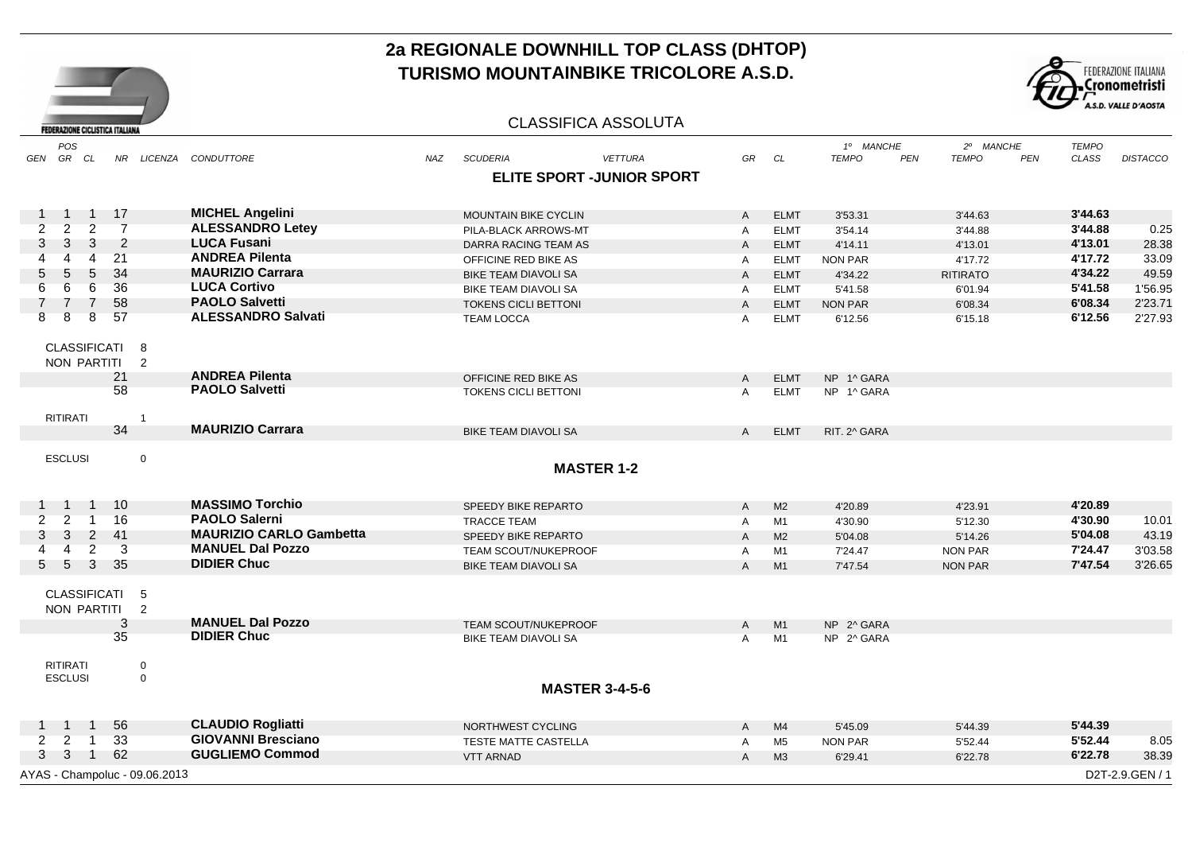

### CLASSIFICA ASSOLUTA

**FEDERAZIONE CICLISTICA ITALIANA** 

| POS                                    |                                  |                |                                |            |                             |                            |                |                | 1º MANCHE      |            | 2º MANCHE       |            | <b>TEMPO</b> |                 |
|----------------------------------------|----------------------------------|----------------|--------------------------------|------------|-----------------------------|----------------------------|----------------|----------------|----------------|------------|-----------------|------------|--------------|-----------------|
| GR CL<br>GEN                           |                                  |                | NR LICENZA CONDUTTORE          | <b>NAZ</b> | <b>SCUDERIA</b>             | <b>VETTURA</b>             | GR             | CL             | <b>TEMPO</b>   | <b>PEN</b> | <b>TEMPO</b>    | <b>PEN</b> | <b>CLASS</b> | <b>DISTACCO</b> |
|                                        |                                  |                |                                |            |                             | ELITE SPORT - JUNIOR SPORT |                |                |                |            |                 |            |              |                 |
|                                        |                                  |                |                                |            |                             |                            |                |                |                |            |                 |            |              |                 |
| $\overline{1}$                         | 1 17                             |                | <b>MICHEL Angelini</b>         |            | <b>MOUNTAIN BIKE CYCLIN</b> |                            | $\mathsf{A}$   | <b>ELMT</b>    | 3'53.31        |            | 3'44.63         |            | 3'44.63      |                 |
| $\overline{2}$<br>$\overline{2}$       | $\overline{2}$<br>$\overline{7}$ |                | <b>ALESSANDRO Letey</b>        |            | PILA-BLACK ARROWS-MT        |                            | $\mathsf{A}$   | <b>ELMT</b>    | 3'54.14        |            | 3'44.88         |            | 3'44.88      | 0.25            |
| 3<br>3                                 | $\overline{2}$<br>3              |                | <b>LUCA Fusani</b>             |            | DARRA RACING TEAM AS        |                            | $\mathsf{A}$   | <b>ELMT</b>    | 4'14.11        |            | 4'13.01         |            | 4'13.01      | 28.38           |
| 4                                      | 21<br>4                          |                | <b>ANDREA Pilenta</b>          |            | OFFICINE RED BIKE AS        |                            | $\mathsf{A}$   | <b>ELMT</b>    | <b>NON PAR</b> |            | 4'17.72         |            | 4'17.72      | 33.09           |
| 5<br>5                                 | 34<br>5                          |                | <b>MAURIZIO Carrara</b>        |            | BIKE TEAM DIAVOLI SA        |                            | $\mathsf{A}$   | <b>ELMT</b>    | 4'34.22        |            | <b>RITIRATO</b> |            | 4'34.22      | 49.59           |
| 6<br>6                                 | 36<br>6                          |                | <b>LUCA Cortivo</b>            |            | BIKE TEAM DIAVOLI SA        |                            | $\mathsf{A}$   | <b>ELMT</b>    | 5'41.58        |            | 6'01.94         |            | 5'41.58      | 1'56.95         |
| 7                                      | 58<br>$\overline{7}$             |                | <b>PAOLO Salvetti</b>          |            | <b>TOKENS CICLI BETTONI</b> |                            | $\overline{A}$ | <b>ELMT</b>    | <b>NON PAR</b> |            | 6'08.34         |            | 6'08.34      | 2'23.71         |
| 8<br>8                                 | 8<br>57                          |                | <b>ALESSANDRO Salvati</b>      |            | <b>TEAM LOCCA</b>           |                            | $\mathsf{A}$   | <b>ELMT</b>    | 6'12.56        |            | 6'15.18         |            | 6'12.56      | 2'27.93         |
| CLASSIFICATI 8                         |                                  |                |                                |            |                             |                            |                |                |                |            |                 |            |              |                 |
| NON PARTITI                            |                                  | $\overline{2}$ |                                |            |                             |                            |                |                |                |            |                 |            |              |                 |
|                                        | 21                               |                | <b>ANDREA Pilenta</b>          |            | OFFICINE RED BIKE AS        |                            | $\mathsf{A}$   | <b>ELMT</b>    | NP 1^ GARA     |            |                 |            |              |                 |
|                                        | 58                               |                | <b>PAOLO Salvetti</b>          |            | <b>TOKENS CICLI BETTONI</b> |                            | A              | <b>ELMT</b>    | NP 1^ GARA     |            |                 |            |              |                 |
|                                        |                                  |                |                                |            |                             |                            |                |                |                |            |                 |            |              |                 |
| RITIRATI                               | 34                               | -1             | <b>MAURIZIO Carrara</b>        |            | <b>BIKE TEAM DIAVOLI SA</b> |                            | $\mathsf{A}$   | <b>ELMT</b>    | RIT. 2^ GARA   |            |                 |            |              |                 |
|                                        |                                  |                |                                |            |                             |                            |                |                |                |            |                 |            |              |                 |
| <b>ESCLUSI</b>                         |                                  | $\mathbf 0$    |                                |            |                             |                            |                |                |                |            |                 |            |              |                 |
|                                        |                                  |                |                                |            |                             | <b>MASTER 1-2</b>          |                |                |                |            |                 |            |              |                 |
|                                        |                                  |                |                                |            |                             |                            |                |                |                |            |                 |            |              |                 |
| $\overline{1}$                         | 1 10                             |                | <b>MASSIMO Torchio</b>         |            | SPEEDY BIKE REPARTO         |                            | $\mathsf{A}$   | M <sub>2</sub> | 4'20.89        |            | 4'23.91         |            | 4'20.89      |                 |
| $\overline{2}$<br>$\overline{2}$<br>-1 | 16                               |                | <b>PAOLO Salerni</b>           |            | <b>TRACCE TEAM</b>          |                            | A              | M1             | 4'30.90        |            | 5'12.30         |            | 4'30.90      | 10.01           |
| 3<br>3                                 | $\overline{2}$<br>-41            |                | <b>MAURIZIO CARLO Gambetta</b> |            | SPEEDY BIKE REPARTO         |                            | $\mathsf{A}$   | M <sub>2</sub> | 5'04.08        |            | 5'14.26         |            | 5'04.08      | 43.19           |
| $\overline{4}$                         | $\overline{3}$<br>$\overline{2}$ |                | <b>MANUEL Dal Pozzo</b>        |            | TEAM SCOUT/NUKEPROOF        |                            | A              | M1             | 7'24.47        |            | NON PAR         |            | 7'24.47      | 3'03.58         |
| - 5<br>5                               | $\mathbf{3}$<br>-35              |                | <b>DIDIER Chuc</b>             |            | <b>BIKE TEAM DIAVOLI SA</b> |                            | $\mathsf{A}$   | M1             | 7'47.54        |            | NON PAR         |            | 7'47.54      | 3'26.65         |
| CLASSIFICATI 5                         |                                  |                |                                |            |                             |                            |                |                |                |            |                 |            |              |                 |
| NON PARTITI 2                          |                                  |                |                                |            |                             |                            |                |                |                |            |                 |            |              |                 |
|                                        | 3                                |                | <b>MANUEL Dal Pozzo</b>        |            | TEAM SCOUT/NUKEPROOF        |                            | A              | M1             | NP 2^ GARA     |            |                 |            |              |                 |
|                                        | 35                               |                | <b>DIDIER Chuc</b>             |            | BIKE TEAM DIAVOLI SA        |                            | $\overline{A}$ | M1             | NP 2^ GARA     |            |                 |            |              |                 |
|                                        |                                  |                |                                |            |                             |                            |                |                |                |            |                 |            |              |                 |
| <b>RITIRATI</b>                        |                                  | 0              |                                |            |                             |                            |                |                |                |            |                 |            |              |                 |
| <b>ESCLUSI</b>                         |                                  | $\mathbf 0$    |                                |            |                             | <b>MASTER 3-4-5-6</b>      |                |                |                |            |                 |            |              |                 |
|                                        |                                  |                |                                |            |                             |                            |                |                |                |            |                 |            |              |                 |
| $\overline{1}$<br>$\overline{1}$       | 56                               |                | <b>CLAUDIO Rogliatti</b>       |            | NORTHWEST CYCLING           |                            | A              | M4             | 5'45.09        |            | 5'44.39         |            | 5'44.39      |                 |
| $\overline{2}$<br>$\overline{2}$<br>-1 | 33                               |                | <b>GIOVANNI Bresciano</b>      |            | TESTE MATTE CASTELLA        |                            | $\mathsf{A}$   | M <sub>5</sub> | <b>NON PAR</b> |            | 5'52.44         |            | 5'52.44      | 8.05            |
| $\overline{\mathbf{3}}$<br>3           | 1 62                             |                | <b>GUGLIEMO Commod</b>         |            | <b>VTT ARNAD</b>            |                            | $\mathsf{A}$   | M3             | 6'29.41        |            | 6'22.78         |            | 6'22.78      | 38.39           |
| AYAS - Champoluc - 09.06.2013          |                                  |                |                                |            |                             |                            |                |                |                |            |                 |            |              | D2T-2.9.GEN / 1 |
|                                        |                                  |                |                                |            |                             |                            |                |                |                |            |                 |            |              |                 |